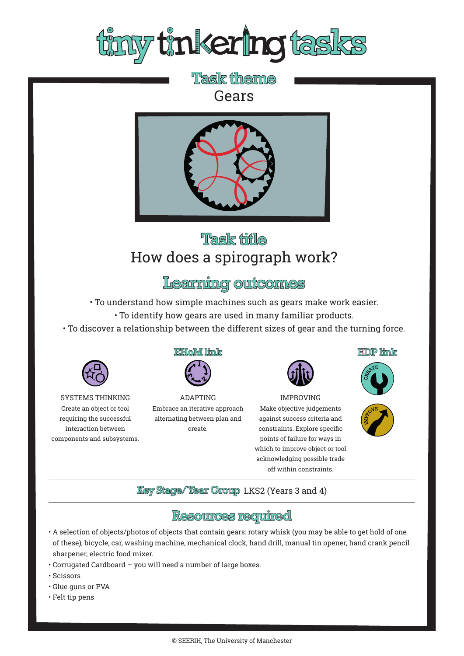

## **Task theme** Gears



# Task title How does a spirograph work?

#### Learning outcomes

• To understand how simple machines such as gears make work easier.

- To identify how gears are used in many familiar products.
- To discover a relationship between the different sizes of gear and the turning force.



SYSTEMS THINKING Create an object or tool requiring the successful interaction between components and subsystems.

#### **EHoM link**



ADAPTING Embrace an iterative approach alternating between plan and create.



IMPROVING Make objective judgements against success criteria and constraints. Explore specific points of failure for ways in which to improve object or tool acknowledging possible trade off within constraints.

EDP limk





**Key Stage/Year Group LKS2 (Years 3 and 4)** 

#### **Resources required**

- A selection of objects/photos of objects that contain gears: rotary whisk (you may be able to get hold of one of these), bicycle, car, washing machine, mechanical clock, hand drill, manual tin opener, hand crank pencil sharpener, electric food mixer.
- Corrugated Cardboard you will need a number of large boxes.
- Scissors
- Glue guns or PVA
- Felt tip pens